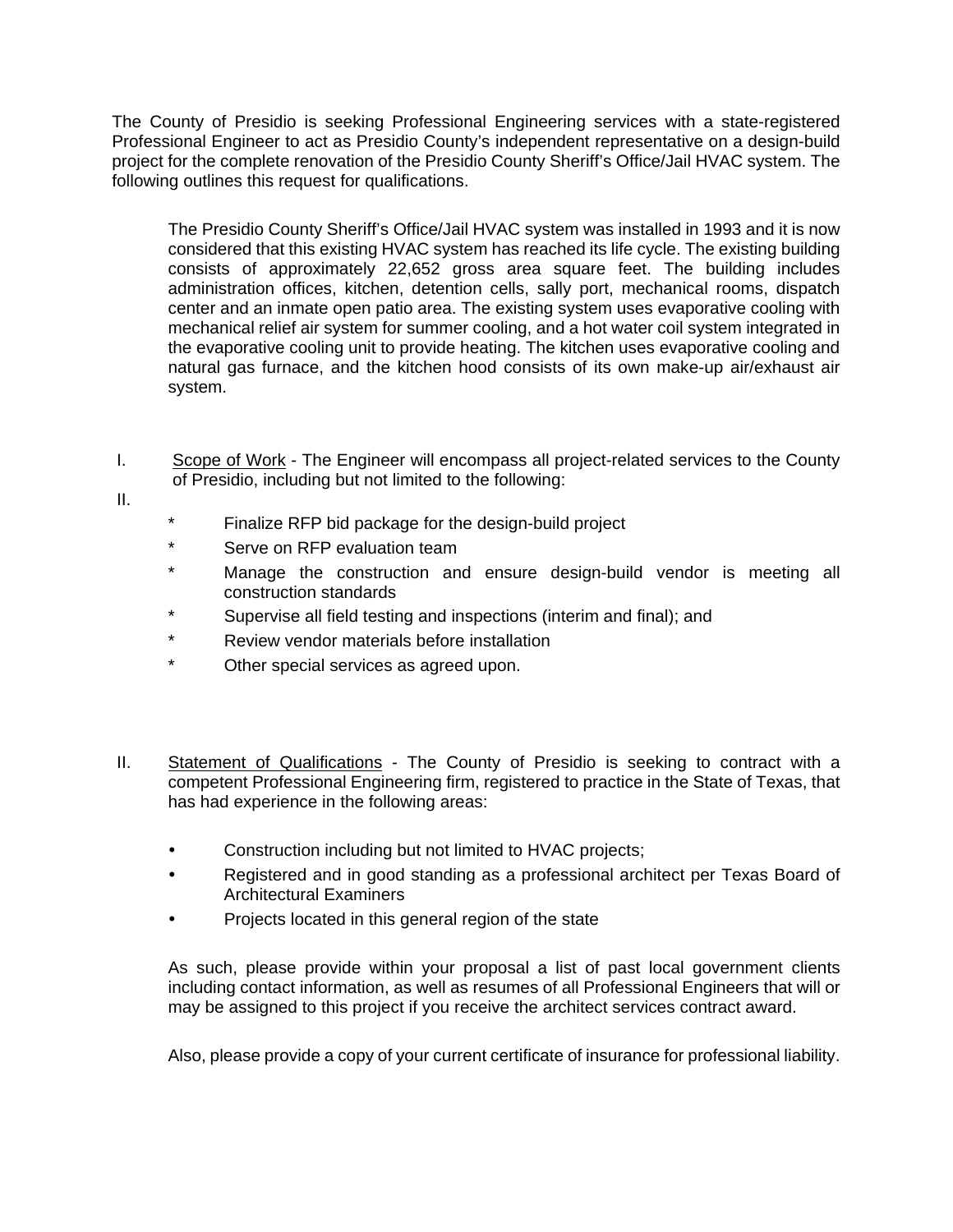The County of Presidio is seeking Professional Engineering services with a state-registered Professional Engineer to act as Presidio County's independent representative on a design-build project for the complete renovation of the Presidio County Sheriff's Office/Jail HVAC system. The following outlines this request for qualifications.

The Presidio County Sheriff's Office/Jail HVAC system was installed in 1993 and it is now considered that this existing HVAC system has reached its life cycle. The existing building consists of approximately 22,652 gross area square feet. The building includes administration offices, kitchen, detention cells, sally port, mechanical rooms, dispatch center and an inmate open patio area. The existing system uses evaporative cooling with mechanical relief air system for summer cooling, and a hot water coil system integrated in the evaporative cooling unit to provide heating. The kitchen uses evaporative cooling and natural gas furnace, and the kitchen hood consists of its own make-up air/exhaust air system.

I. Scope of Work - The Engineer will encompass all project-related services to the County of Presidio, including but not limited to the following:

II.

- \* Finalize RFP bid package for the design-build project
- \* Serve on RFP evaluation team
- \* Manage the construction and ensure design-build vendor is meeting all construction standards
- \* Supervise all field testing and inspections (interim and final); and
- \* Review vendor materials before installation
- \* Other special services as agreed upon.
- II. Statement of Qualifications The County of Presidio is seeking to contract with a competent Professional Engineering firm, registered to practice in the State of Texas, that has had experience in the following areas:
	- Construction including but not limited to HVAC projects;
	- Registered and in good standing as a professional architect per Texas Board of Architectural Examiners
	- Projects located in this general region of the state

As such, please provide within your proposal a list of past local government clients including contact information, as well as resumes of all Professional Engineers that will or may be assigned to this project if you receive the architect services contract award.

Also, please provide a copy of your current certificate of insurance for professional liability.